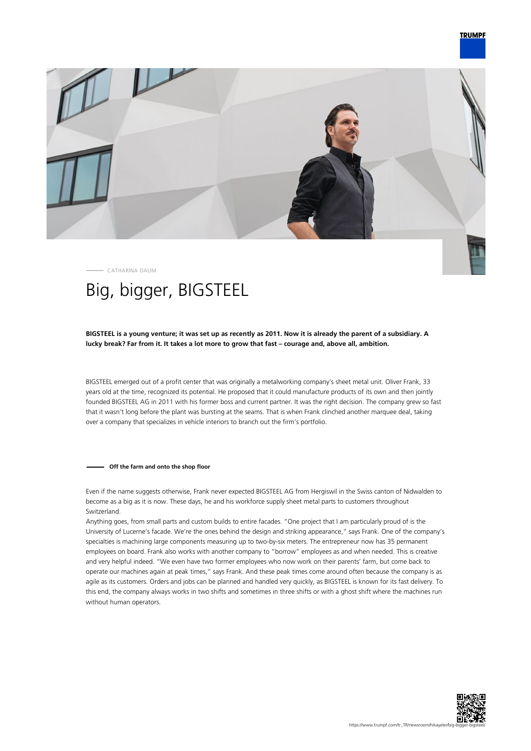

CATHARINA DAUM

# Big, bigger, BIGSTEEL

# **BIGSTEEL is a young venture; it was set up as recently as 2011. Now it is already the parent of a subsidiary. A lucky break? Far from it. It takes a lot more to grow that fast – courage and, above all, ambition.**

BIGSTEEL emerged out of a profit center that was originally a metalworking company's sheet metal unit. Oliver Frank, 33 years old at the time, recognized its potential. He proposed that it could manufacture products of its own and then jointly founded BIGSTEEL AG in 2011 with his former boss and current partner. It was the right decision. The company grew so fast that it wasn't long before the plant was bursting at the seams. That is when Frank clinched another marquee deal, taking over a company that specializes in vehicle interiors to branch out the firm's portfolio.

## **Off the farm and onto the shop floor**

Even if the name suggests otherwise, Frank never expected BIGSTEEL AG from Hergiswil in the Swiss canton of Nidwalden to become as a big as it is now. These days, he and his workforce supply sheet metal parts to customers throughout Switzerland.

Anything goes, from small parts and custom builds to entire facades. "One project that I am particularly proud of is the University of Lucerne's facade. We're the ones behind the design and striking appearance," says Frank. One of the company's specialties is machining large components measuring up to two-by-six meters. The entrepreneur now has 35 permanent employees on board. Frank also works with another company to "borrow" employees as and when needed. This is creative and very helpful indeed. "We even have two former employees who now work on their parents' farm, but come back to operate our machines again at peak times," says Frank. And these peak times come around often because the company is as agile as its customers. Orders and jobs can be planned and handled very quickly, as BIGSTEEL is known for its fast delivery. To this end, the company always works in two shifts and sometimes in three shifts or with a ghost shift where the machines run without human operators.